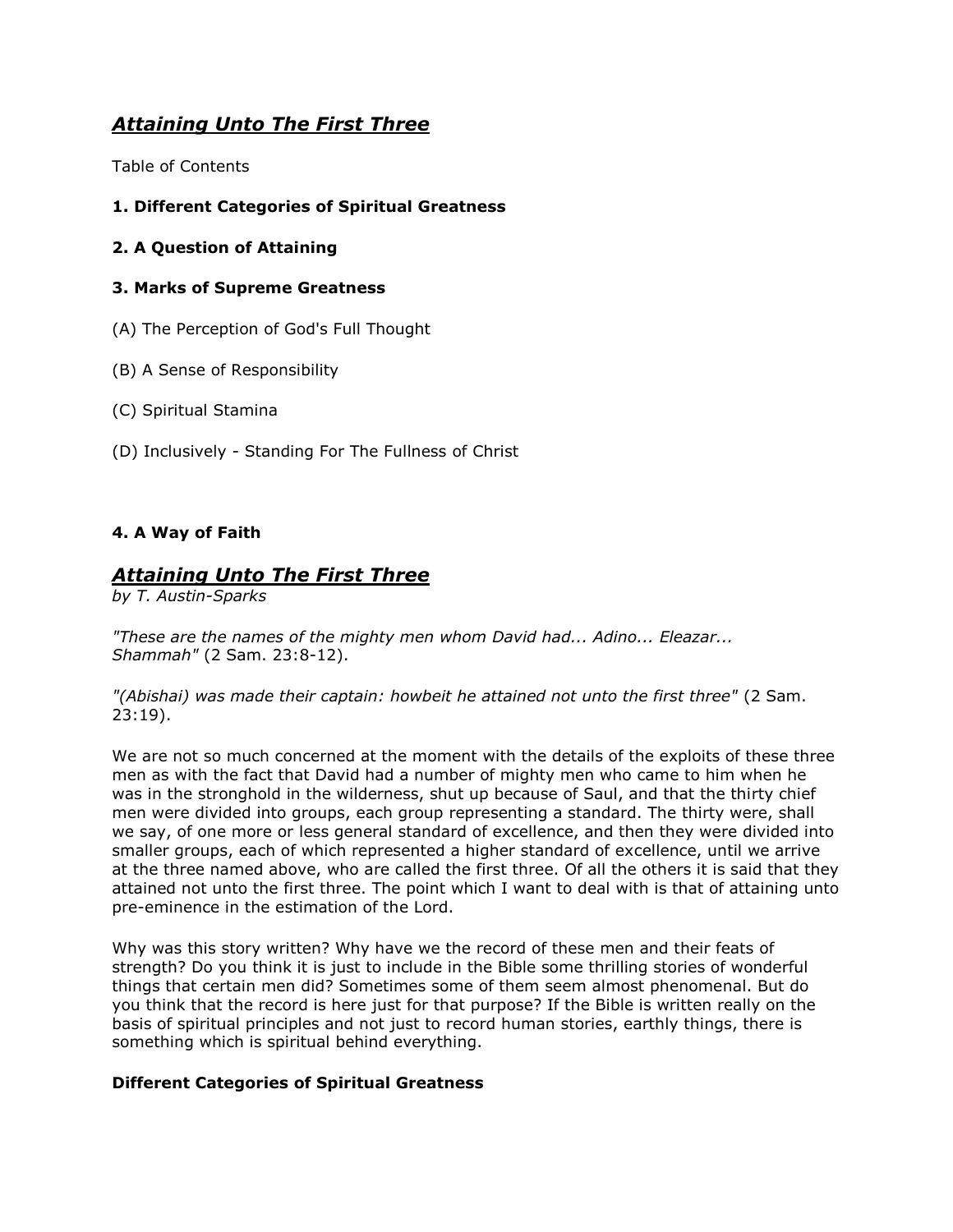# *Attaining Unto The First Three*

Table of Contents

- **1. Different Categories of Spiritual Greatness**
- **2. A Question of Attaining**

#### **3. Marks of Supreme Greatness**

- (A) The Perception of God's Full Thought
- (B) A Sense of Responsibility
- (C) Spiritual Stamina
- (D) Inclusively Standing For The Fullness of Christ

#### **4. A Way of Faith**

# *Attaining Unto The First Three*

*by T. Austin-Sparks*

*"These are the names of the mighty men whom David had... Adino... Eleazar... Shammah"* (2 Sam. 23:8-12).

*"(Abishai) was made their captain: howbeit he attained not unto the first three"* (2 Sam. 23:19).

We are not so much concerned at the moment with the details of the exploits of these three men as with the fact that David had a number of mighty men who came to him when he was in the stronghold in the wilderness, shut up because of Saul, and that the thirty chief men were divided into groups, each group representing a standard. The thirty were, shall we say, of one more or less general standard of excellence, and then they were divided into smaller groups, each of which represented a higher standard of excellence, until we arrive at the three named above, who are called the first three. Of all the others it is said that they attained not unto the first three. The point which I want to deal with is that of attaining unto pre-eminence in the estimation of the Lord.

Why was this story written? Why have we the record of these men and their feats of strength? Do you think it is just to include in the Bible some thrilling stories of wonderful things that certain men did? Sometimes some of them seem almost phenomenal. But do you think that the record is here just for that purpose? If the Bible is written really on the basis of spiritual principles and not just to record human stories, earthly things, there is something which is spiritual behind everything.

#### **Different Categories of Spiritual Greatness**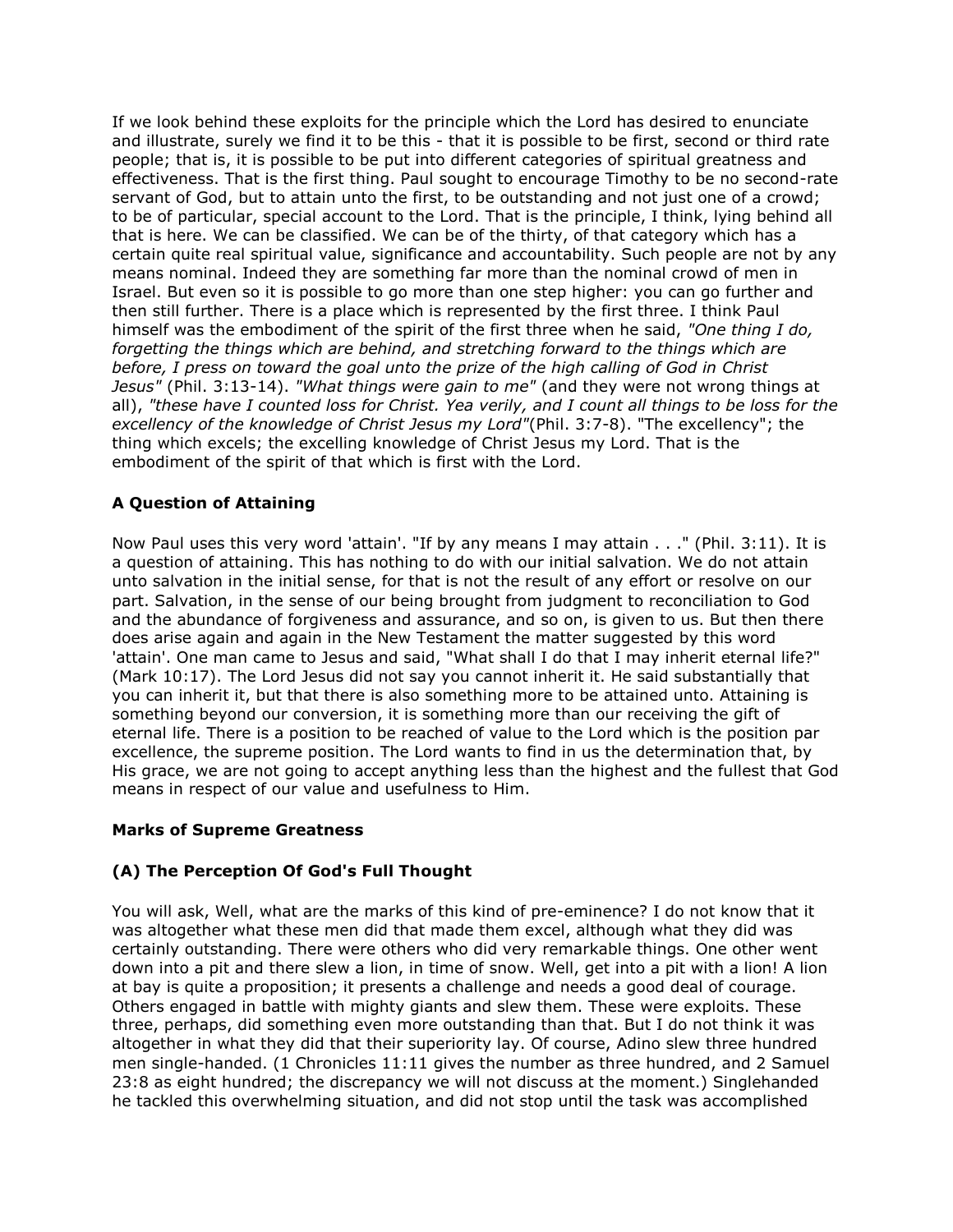If we look behind these exploits for the principle which the Lord has desired to enunciate and illustrate, surely we find it to be this - that it is possible to be first, second or third rate people; that is, it is possible to be put into different categories of spiritual greatness and effectiveness. That is the first thing. Paul sought to encourage Timothy to be no second-rate servant of God, but to attain unto the first, to be outstanding and not just one of a crowd; to be of particular, special account to the Lord. That is the principle, I think, lying behind all that is here. We can be classified. We can be of the thirty, of that category which has a certain quite real spiritual value, significance and accountability. Such people are not by any means nominal. Indeed they are something far more than the nominal crowd of men in Israel. But even so it is possible to go more than one step higher: you can go further and then still further. There is a place which is represented by the first three. I think Paul himself was the embodiment of the spirit of the first three when he said, *"One thing I do, forgetting the things which are behind, and stretching forward to the things which are before, I press on toward the goal unto the prize of the high calling of God in Christ Jesus"* (Phil. 3:13-14). *"What things were gain to me"* (and they were not wrong things at all), *"these have I counted loss for Christ. Yea verily, and I count all things to be loss for the excellency of the knowledge of Christ Jesus my Lord"*(Phil. 3:7-8). "The excellency"; the thing which excels; the excelling knowledge of Christ Jesus my Lord. That is the embodiment of the spirit of that which is first with the Lord.

### **A Question of Attaining**

Now Paul uses this very word 'attain'. "If by any means I may attain . . ." (Phil. 3:11). It is a question of attaining. This has nothing to do with our initial salvation. We do not attain unto salvation in the initial sense, for that is not the result of any effort or resolve on our part. Salvation, in the sense of our being brought from judgment to reconciliation to God and the abundance of forgiveness and assurance, and so on, is given to us. But then there does arise again and again in the New Testament the matter suggested by this word 'attain'. One man came to Jesus and said, "What shall I do that I may inherit eternal life?" (Mark 10:17). The Lord Jesus did not say you cannot inherit it. He said substantially that you can inherit it, but that there is also something more to be attained unto. Attaining is something beyond our conversion, it is something more than our receiving the gift of eternal life. There is a position to be reached of value to the Lord which is the position par excellence, the supreme position. The Lord wants to find in us the determination that, by His grace, we are not going to accept anything less than the highest and the fullest that God means in respect of our value and usefulness to Him.

#### **Marks of Supreme Greatness**

#### **(A) The Perception Of God's Full Thought**

You will ask, Well, what are the marks of this kind of pre-eminence? I do not know that it was altogether what these men did that made them excel, although what they did was certainly outstanding. There were others who did very remarkable things. One other went down into a pit and there slew a lion, in time of snow. Well, get into a pit with a lion! A lion at bay is quite a proposition; it presents a challenge and needs a good deal of courage. Others engaged in battle with mighty giants and slew them. These were exploits. These three, perhaps, did something even more outstanding than that. But I do not think it was altogether in what they did that their superiority lay. Of course, Adino slew three hundred men single-handed. (1 Chronicles 11:11 gives the number as three hundred, and 2 Samuel 23:8 as eight hundred; the discrepancy we will not discuss at the moment.) Singlehanded he tackled this overwhelming situation, and did not stop until the task was accomplished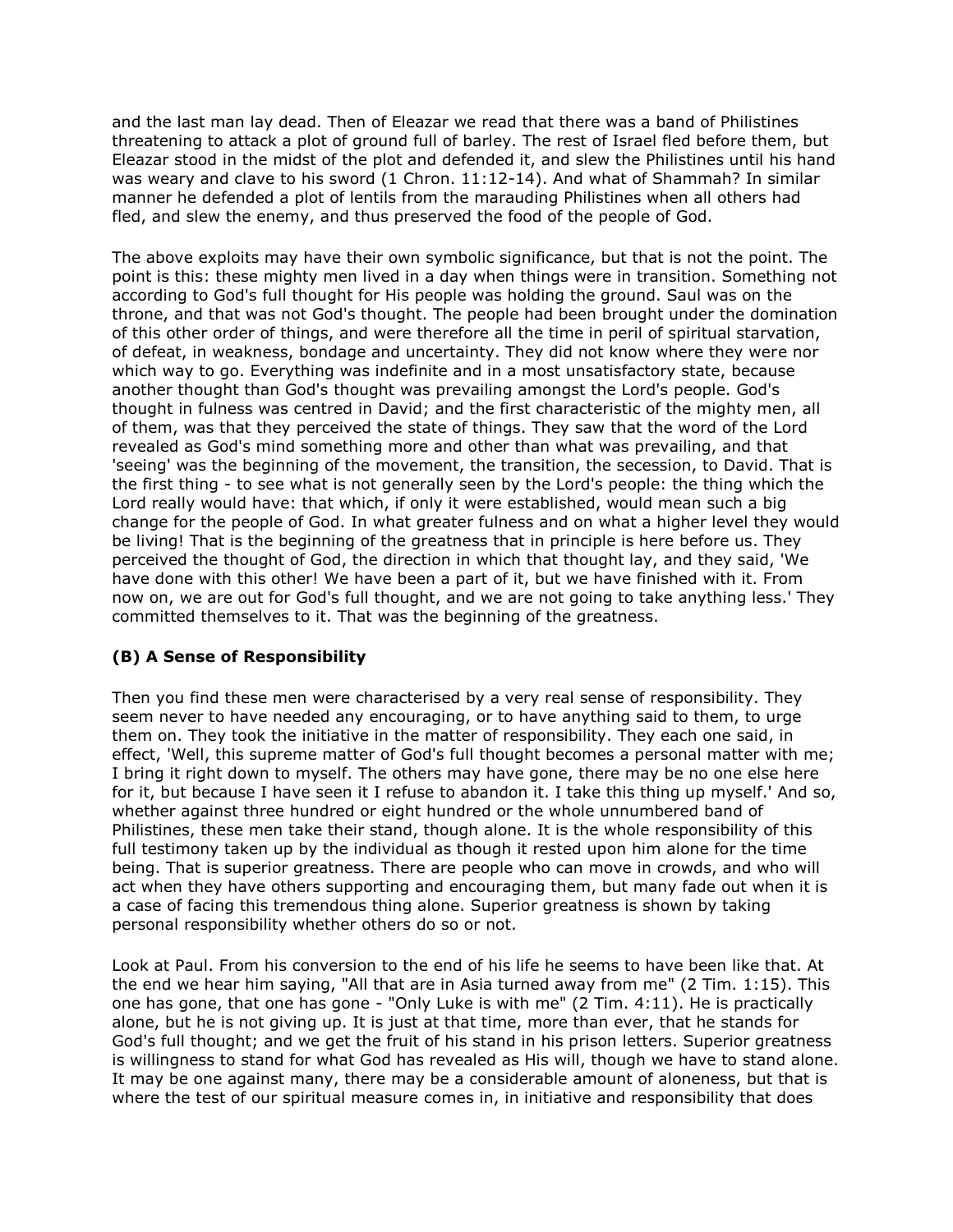and the last man lay dead. Then of Eleazar we read that there was a band of Philistines threatening to attack a plot of ground full of barley. The rest of Israel fled before them, but Eleazar stood in the midst of the plot and defended it, and slew the Philistines until his hand was weary and clave to his sword (1 Chron. 11:12-14). And what of Shammah? In similar manner he defended a plot of lentils from the marauding Philistines when all others had fled, and slew the enemy, and thus preserved the food of the people of God.

The above exploits may have their own symbolic significance, but that is not the point. The point is this: these mighty men lived in a day when things were in transition. Something not according to God's full thought for His people was holding the ground. Saul was on the throne, and that was not God's thought. The people had been brought under the domination of this other order of things, and were therefore all the time in peril of spiritual starvation, of defeat, in weakness, bondage and uncertainty. They did not know where they were nor which way to go. Everything was indefinite and in a most unsatisfactory state, because another thought than God's thought was prevailing amongst the Lord's people. God's thought in fulness was centred in David; and the first characteristic of the mighty men, all of them, was that they perceived the state of things. They saw that the word of the Lord revealed as God's mind something more and other than what was prevailing, and that 'seeing' was the beginning of the movement, the transition, the secession, to David. That is the first thing - to see what is not generally seen by the Lord's people: the thing which the Lord really would have: that which, if only it were established, would mean such a big change for the people of God. In what greater fulness and on what a higher level they would be living! That is the beginning of the greatness that in principle is here before us. They perceived the thought of God, the direction in which that thought lay, and they said, 'We have done with this other! We have been a part of it, but we have finished with it. From now on, we are out for God's full thought, and we are not going to take anything less.' They committed themselves to it. That was the beginning of the greatness.

#### **(B) A Sense of Responsibility**

Then you find these men were characterised by a very real sense of responsibility. They seem never to have needed any encouraging, or to have anything said to them, to urge them on. They took the initiative in the matter of responsibility. They each one said, in effect, 'Well, this supreme matter of God's full thought becomes a personal matter with me; I bring it right down to myself. The others may have gone, there may be no one else here for it, but because I have seen it I refuse to abandon it. I take this thing up myself.' And so, whether against three hundred or eight hundred or the whole unnumbered band of Philistines, these men take their stand, though alone. It is the whole responsibility of this full testimony taken up by the individual as though it rested upon him alone for the time being. That is superior greatness. There are people who can move in crowds, and who will act when they have others supporting and encouraging them, but many fade out when it is a case of facing this tremendous thing alone. Superior greatness is shown by taking personal responsibility whether others do so or not.

Look at Paul. From his conversion to the end of his life he seems to have been like that. At the end we hear him saying, "All that are in Asia turned away from me" (2 Tim. 1:15). This one has gone, that one has gone - "Only Luke is with me" (2 Tim. 4:11). He is practically alone, but he is not giving up. It is just at that time, more than ever, that he stands for God's full thought; and we get the fruit of his stand in his prison letters. Superior greatness is willingness to stand for what God has revealed as His will, though we have to stand alone. It may be one against many, there may be a considerable amount of aloneness, but that is where the test of our spiritual measure comes in, in initiative and responsibility that does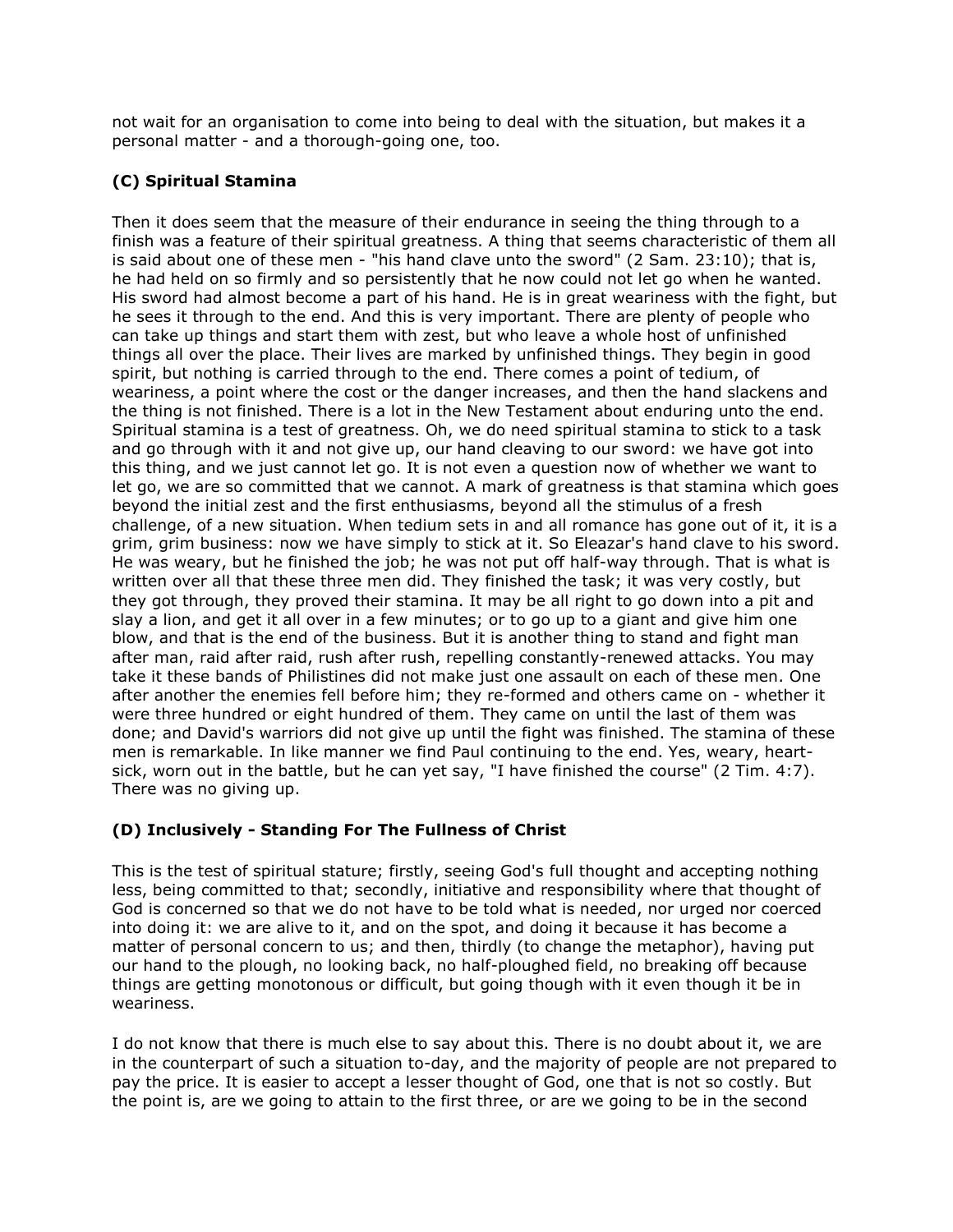not wait for an organisation to come into being to deal with the situation, but makes it a personal matter - and a thorough-going one, too.

### **(C) Spiritual Stamina**

Then it does seem that the measure of their endurance in seeing the thing through to a finish was a feature of their spiritual greatness. A thing that seems characteristic of them all is said about one of these men - "his hand clave unto the sword" (2 Sam. 23:10); that is, he had held on so firmly and so persistently that he now could not let go when he wanted. His sword had almost become a part of his hand. He is in great weariness with the fight, but he sees it through to the end. And this is very important. There are plenty of people who can take up things and start them with zest, but who leave a whole host of unfinished things all over the place. Their lives are marked by unfinished things. They begin in good spirit, but nothing is carried through to the end. There comes a point of tedium, of weariness, a point where the cost or the danger increases, and then the hand slackens and the thing is not finished. There is a lot in the New Testament about enduring unto the end. Spiritual stamina is a test of greatness. Oh, we do need spiritual stamina to stick to a task and go through with it and not give up, our hand cleaving to our sword: we have got into this thing, and we just cannot let go. It is not even a question now of whether we want to let go, we are so committed that we cannot. A mark of greatness is that stamina which goes beyond the initial zest and the first enthusiasms, beyond all the stimulus of a fresh challenge, of a new situation. When tedium sets in and all romance has gone out of it, it is a grim, grim business: now we have simply to stick at it. So Eleazar's hand clave to his sword. He was weary, but he finished the job; he was not put off half-way through. That is what is written over all that these three men did. They finished the task; it was very costly, but they got through, they proved their stamina. It may be all right to go down into a pit and slay a lion, and get it all over in a few minutes; or to go up to a giant and give him one blow, and that is the end of the business. But it is another thing to stand and fight man after man, raid after raid, rush after rush, repelling constantly-renewed attacks. You may take it these bands of Philistines did not make just one assault on each of these men. One after another the enemies fell before him; they re-formed and others came on - whether it were three hundred or eight hundred of them. They came on until the last of them was done; and David's warriors did not give up until the fight was finished. The stamina of these men is remarkable. In like manner we find Paul continuing to the end. Yes, weary, heartsick, worn out in the battle, but he can yet say, "I have finished the course" (2 Tim. 4:7). There was no giving up.

## **(D) Inclusively - Standing For The Fullness of Christ**

This is the test of spiritual stature; firstly, seeing God's full thought and accepting nothing less, being committed to that; secondly, initiative and responsibility where that thought of God is concerned so that we do not have to be told what is needed, nor urged nor coerced into doing it: we are alive to it, and on the spot, and doing it because it has become a matter of personal concern to us; and then, thirdly (to change the metaphor), having put our hand to the plough, no looking back, no half-ploughed field, no breaking off because things are getting monotonous or difficult, but going though with it even though it be in weariness.

I do not know that there is much else to say about this. There is no doubt about it, we are in the counterpart of such a situation to-day, and the majority of people are not prepared to pay the price. It is easier to accept a lesser thought of God, one that is not so costly. But the point is, are we going to attain to the first three, or are we going to be in the second